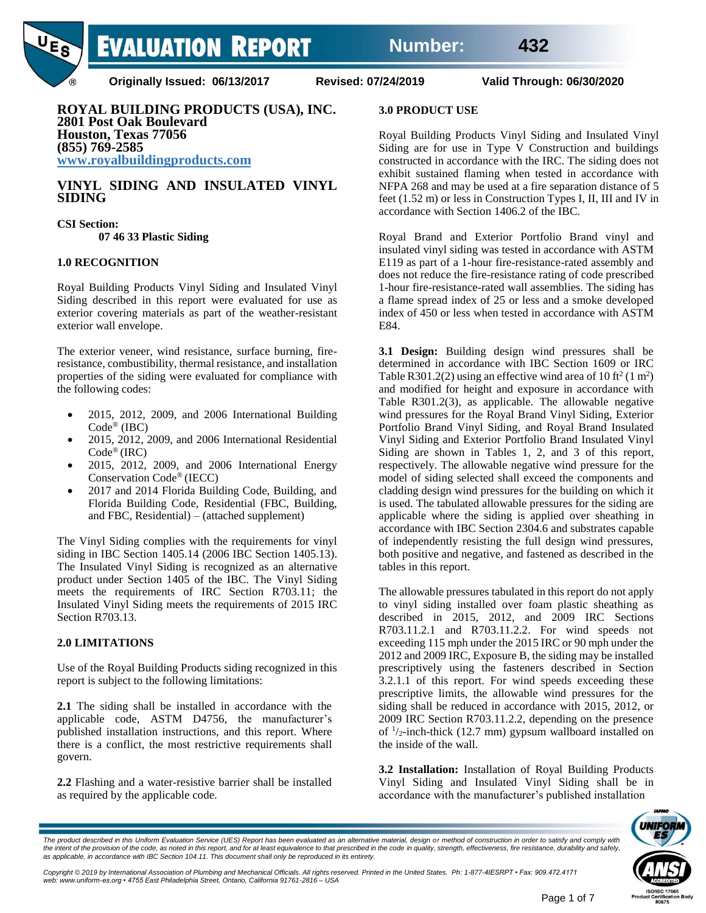

**Originally Issued: 06/13/2017 Revised: 07/24/2019 Valid Through: 06/30/2020**

**ROYAL BUILDING PRODUCTS (USA), INC. 2801 Post Oak Boulevard Houston, Texas 77056 (855) 769-2585 www.royalbuildingproducts.com**

## **VINYL SIDING AND INSULATED VINYL SIDING**

**CSI Section: 07 46 33 Plastic Siding**

### **1.0 RECOGNITION**

Royal Building Products Vinyl Siding and Insulated Vinyl Siding described in this report were evaluated for use as exterior covering materials as part of the weather-resistant exterior wall envelope.

The exterior veneer, wind resistance, surface burning, fireresistance, combustibility, thermal resistance, and installation properties of the siding were evaluated for compliance with the following codes:

- 2015, 2012, 2009, and 2006 International Building Code ® (IBC)
- 2015, 2012, 2009, and 2006 International Residential Code® (IRC)
- 2015, 2012, 2009, and 2006 International Energy Conservation Code® (IECC)
- 2017 and 2014 Florida Building Code, Building, and Florida Building Code, Residential (FBC, Building, and FBC, Residential) – (attached supplement)

The Vinyl Siding complies with the requirements for vinyl siding in IBC Section 1405.14 (2006 IBC Section 1405.13). The Insulated Vinyl Siding is recognized as an alternative product under Section 1405 of the IBC. The Vinyl Siding meets the requirements of IRC Section R703.11; the Insulated Vinyl Siding meets the requirements of 2015 IRC Section R703.13.

#### **2.0 LIMITATIONS**

Use of the Royal Building Products siding recognized in this report is subject to the following limitations:

**2.1** The siding shall be installed in accordance with the applicable code, ASTM D4756, the manufacturer's published installation instructions, and this report. Where there is a conflict, the most restrictive requirements shall govern.

**2.2** Flashing and a water-resistive barrier shall be installed as required by the applicable code.

#### **3.0 PRODUCT USE**

Royal Building Products Vinyl Siding and Insulated Vinyl Siding are for use in Type V Construction and buildings constructed in accordance with the IRC. The siding does not exhibit sustained flaming when tested in accordance with NFPA 268 and may be used at a fire separation distance of 5 feet (1.52 m) or less in Construction Types I, II, III and IV in accordance with Section 1406.2 of the IBC.

Royal Brand and Exterior Portfolio Brand vinyl and insulated vinyl siding was tested in accordance with ASTM E119 as part of a 1-hour fire-resistance-rated assembly and does not reduce the fire-resistance rating of code prescribed 1-hour fire-resistance-rated wall assemblies. The siding has a flame spread index of 25 or less and a smoke developed index of 450 or less when tested in accordance with ASTM E84.

**3.1 Design:** Building design wind pressures shall be determined in accordance with IBC Section 1609 or IRC Table R301.2(2) using an effective wind area of 10 ft<sup>2</sup> (1 m<sup>2</sup>) and modified for height and exposure in accordance with Table R301.2(3), as applicable. The allowable negative wind pressures for the Royal Brand Vinyl Siding, Exterior Portfolio Brand Vinyl Siding, and Royal Brand Insulated Vinyl Siding and Exterior Portfolio Brand Insulated Vinyl Siding are shown in Tables 1, 2, and 3 of this report, respectively. The allowable negative wind pressure for the model of siding selected shall exceed the components and cladding design wind pressures for the building on which it is used. The tabulated allowable pressures for the siding are applicable where the siding is applied over sheathing in accordance with IBC Section 2304.6 and substrates capable of independently resisting the full design wind pressures, both positive and negative, and fastened as described in the tables in this report.

The allowable pressures tabulated in this report do not apply to vinyl siding installed over foam plastic sheathing as described in 2015, 2012, and 2009 IRC Sections R703.11.2.1 and R703.11.2.2. For wind speeds not exceeding 115 mph under the 2015 IRC or 90 mph under the 2012 and 2009 IRC, Exposure B, the siding may be installed prescriptively using the fasteners described in Section 3.2.1.1 of this report. For wind speeds exceeding these prescriptive limits, the allowable wind pressures for the siding shall be reduced in accordance with 2015, 2012, or 2009 IRC Section R703.11.2.2, depending on the presence of  $\frac{1}{2}$ -inch-thick (12.7 mm) gypsum wallboard installed on the inside of the wall.

**3.2 Installation:** Installation of Royal Building Products Vinyl Siding and Insulated Vinyl Siding shall be in accordance with the manufacturer's published installation



The product described in this Uniform Evaluation Service (UES) Report has been evaluated as an alternative material, design or method of construction in order to satisfy and comply with the intent of the provision of the code, as noted in this report, and for at least equivalence to that prescribed in the code in quality, strength, effectiveness, fire resistance, durability and safely,<br>as applicable, in a

Copyright © 2019 by International Association of Plumbing and Mechanical Officials. All rights reserved. Printed in the United States. Ph: 1-877-4IESRPT • Fax: 909.472.4171<br>web: www.uniform-es.org • 4755 East Philadelphia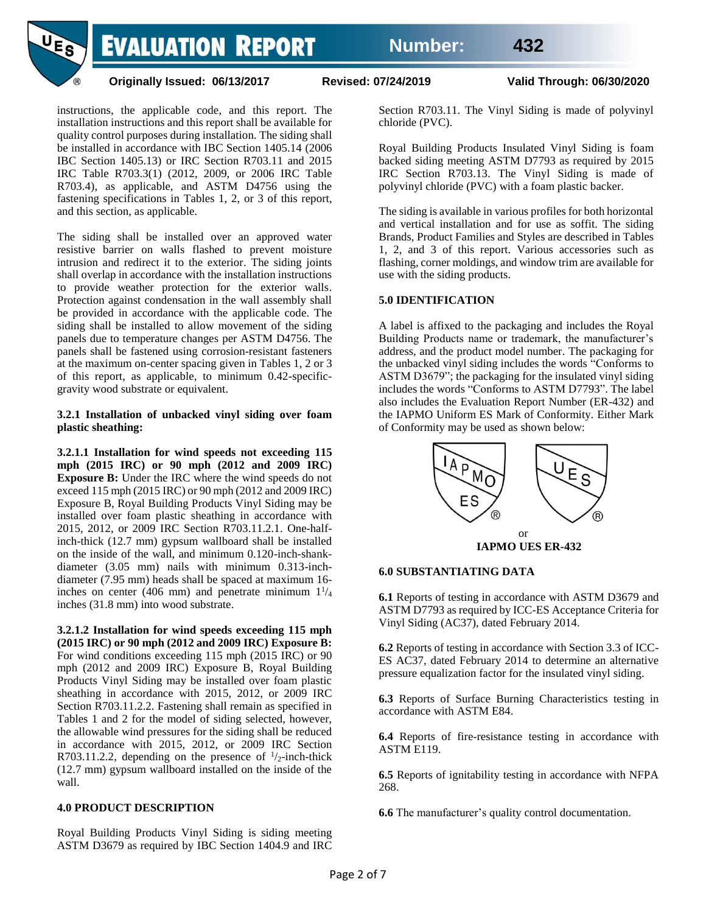

**Originally Issued: 06/13/2017 Revised: 07/24/2019 Valid Through: 06/30/2020**

instructions, the applicable code, and this report. The installation instructions and this report shall be available for quality control purposes during installation. The siding shall be installed in accordance with IBC Section 1405.14 (2006 IBC Section 1405.13) or IRC Section R703.11 and 2015 IRC Table R703.3(1) (2012, 2009, or 2006 IRC Table R703.4), as applicable, and ASTM D4756 using the fastening specifications in Tables 1, 2, or 3 of this report, and this section, as applicable.

The siding shall be installed over an approved water resistive barrier on walls flashed to prevent moisture intrusion and redirect it to the exterior. The siding joints shall overlap in accordance with the installation instructions to provide weather protection for the exterior walls. Protection against condensation in the wall assembly shall be provided in accordance with the applicable code. The siding shall be installed to allow movement of the siding panels due to temperature changes per ASTM D4756. The panels shall be fastened using corrosion-resistant fasteners at the maximum on-center spacing given in Tables 1, 2 or 3 of this report, as applicable, to minimum 0.42-specificgravity wood substrate or equivalent.

**3.2.1 Installation of unbacked vinyl siding over foam plastic sheathing:**

**3.2.1.1 Installation for wind speeds not exceeding 115 mph (2015 IRC) or 90 mph (2012 and 2009 IRC) Exposure B:** Under the IRC where the wind speeds do not exceed 115 mph (2015 IRC) or 90 mph (2012 and 2009 IRC) Exposure B, Royal Building Products Vinyl Siding may be installed over foam plastic sheathing in accordance with 2015, 2012, or 2009 IRC Section R703.11.2.1. One-halfinch-thick (12.7 mm) gypsum wallboard shall be installed on the inside of the wall, and minimum 0.120-inch-shankdiameter (3.05 mm) nails with minimum 0.313-inchdiameter (7.95 mm) heads shall be spaced at maximum 16 inches on center (406 mm) and penetrate minimum  $1\frac{1}{4}$ inches (31.8 mm) into wood substrate.

**3.2.1.2 Installation for wind speeds exceeding 115 mph (2015 IRC) or 90 mph (2012 and 2009 IRC) Exposure B:** For wind conditions exceeding 115 mph (2015 IRC) or 90 mph (2012 and 2009 IRC) Exposure B, Royal Building Products Vinyl Siding may be installed over foam plastic sheathing in accordance with 2015, 2012, or 2009 IRC Section R703.11.2.2. Fastening shall remain as specified in Tables 1 and 2 for the model of siding selected, however, the allowable wind pressures for the siding shall be reduced in accordance with 2015, 2012, or 2009 IRC Section R703.11.2.2, depending on the presence of  $\frac{1}{2}$ -inch-thick (12.7 mm) gypsum wallboard installed on the inside of the wall.

# **4.0 PRODUCT DESCRIPTION**

Royal Building Products Vinyl Siding is siding meeting ASTM D3679 as required by IBC Section 1404.9 and IRC

Section R703.11. The Vinyl Siding is made of polyvinyl chloride (PVC).

Royal Building Products Insulated Vinyl Siding is foam backed siding meeting ASTM D7793 as required by 2015 IRC Section R703.13. The Vinyl Siding is made of polyvinyl chloride (PVC) with a foam plastic backer.

The siding is available in various profiles for both horizontal and vertical installation and for use as soffit. The siding Brands, Product Families and Styles are described in Tables 1, 2, and 3 of this report. Various accessories such as flashing, corner moldings, and window trim are available for use with the siding products.

# **5.0 IDENTIFICATION**

A label is affixed to the packaging and includes the Royal Building Products name or trademark, the manufacturer's address, and the product model number. The packaging for the unbacked vinyl siding includes the words "Conforms to ASTM D3679"; the packaging for the insulated vinyl siding includes the words "Conforms to ASTM D7793". The label also includes the Evaluation Report Number (ER-432) and the IAPMO Uniform ES Mark of Conformity. Either Mark of Conformity may be used as shown below:



#### **6.0 SUBSTANTIATING DATA**

**6.1** Reports of testing in accordance with ASTM D3679 and ASTM D7793 as required by ICC-ES Acceptance Criteria for Vinyl Siding (AC37), dated February 2014.

**6.2** Reports of testing in accordance with Section 3.3 of ICC-ES AC37, dated February 2014 to determine an alternative pressure equalization factor for the insulated vinyl siding.

**6.3** Reports of Surface Burning Characteristics testing in accordance with ASTM E84.

**6.4** Reports of fire-resistance testing in accordance with ASTM E119.

**6.5** Reports of ignitability testing in accordance with NFPA 268.

**6.6** The manufacturer's quality control documentation.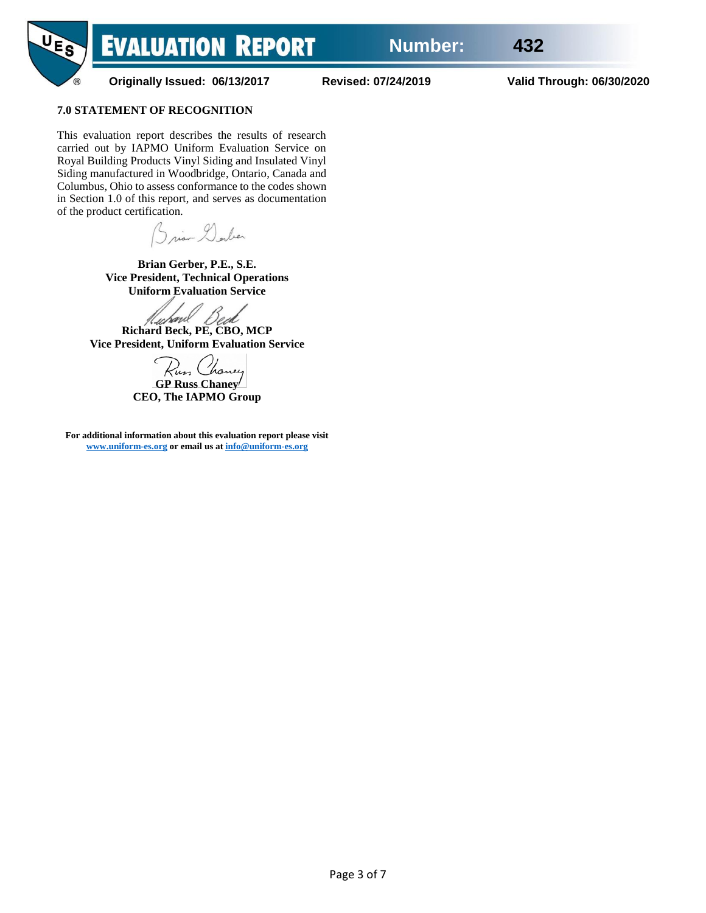

**Originally Issued: 06/13/2017 Revised: 07/24/2019 Valid Through: 06/30/2020**

# **7.0 STATEMENT OF RECOGNITION**

This evaluation report describes the results of research carried out by IAPMO Uniform Evaluation Service on Royal Building Products Vinyl Siding and Insulated Vinyl Siding manufactured in Woodbridge, Ontario, Canada and Columbus, Ohio to assess conformance to the codes shown in Section 1.0 of this report, and serves as documentation of the product certification.

Brian Dorber

**Brian Gerber, P.E., S.E. Vice President, Technical Operations Uniform Evaluation Service**

**Richard Beck, PE, CBO, MCP Vice President, Uniform Evaluation Service**

**GP Russ Chaney CEO, The IAPMO Group**

**For additional information about this evaluation report please visit [www.uniform-es.org](http://www.uniform-es.org/) or email us a[t info@uniform-es.org](mailto:info@uniform-es.org)**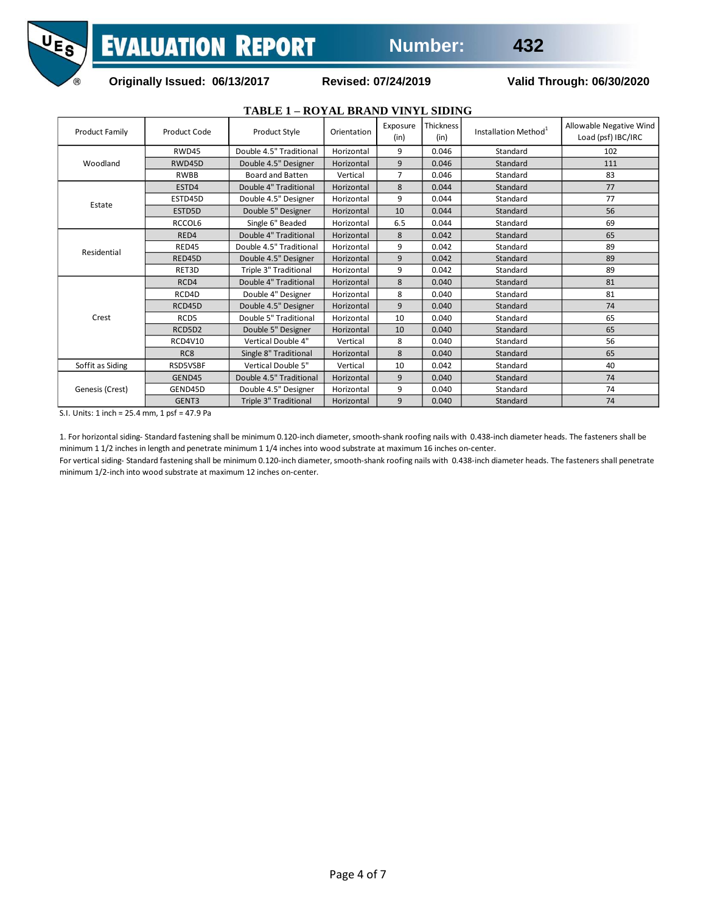

# **Originally Issued: 06/13/2017 Revised: 07/24/2019 Valid Through: 06/30/2020**

|                       |                  | TABLE 1 - ROYAL BRAND VINYL SIDING |             |                  |                          |                                  |                                               |
|-----------------------|------------------|------------------------------------|-------------|------------------|--------------------------|----------------------------------|-----------------------------------------------|
| <b>Product Family</b> | Product Code     | Product Style                      | Orientation | Exposure<br>(in) | <b>Thickness</b><br>(in) | Installation Method <sup>1</sup> | Allowable Negative Wind<br>Load (psf) IBC/IRC |
|                       | RWD45            | Double 4.5" Traditional            | Horizontal  | 9                | 0.046                    | Standard                         | 102                                           |
| Woodland              | RWD45D           | Double 4.5" Designer               | Horizontal  | 9                | 0.046                    | Standard                         | 111                                           |
|                       | <b>RWBB</b>      | <b>Board and Batten</b>            | Vertical    | $\overline{7}$   | 0.046                    | Standard                         | 83                                            |
|                       | ESTD4            | Double 4" Traditional              | Horizontal  | 8                | 0.044                    | Standard                         | 77                                            |
|                       | ESTD45D          | Double 4.5" Designer               | Horizontal  | 9                | 0.044                    | Standard                         | 77                                            |
| Estate                | ESTD5D           | Double 5" Designer                 | Horizontal  | 10               | 0.044                    | Standard                         | 56                                            |
|                       | RCCOL6           | Single 6" Beaded                   | Horizontal  | 6.5              | 0.044                    | Standard                         | 69                                            |
|                       | RED4             | Double 4" Traditional              | Horizontal  | 8                | 0.042                    | Standard                         | 65                                            |
| Residential           | RED45            | Double 4.5" Traditional            | Horizontal  | 9                | 0.042                    | Standard                         | 89                                            |
|                       | RED45D           | Double 4.5" Designer               | Horizontal  | 9                | 0.042                    | Standard                         | 89                                            |
|                       | RET3D            | Triple 3" Traditional              | Horizontal  | 9                | 0.042                    | Standard                         | 89                                            |
|                       | RCD4             | Double 4" Traditional              | Horizontal  | 8                | 0.040                    | Standard                         | 81                                            |
|                       | RCD4D            | Double 4" Designer                 | Horizontal  | 8                | 0.040                    | Standard                         | 81                                            |
|                       | RCD45D           | Double 4.5" Designer               | Horizontal  | 9                | 0.040                    | Standard                         | 74                                            |
| Crest                 | RCD <sub>5</sub> | Double 5" Traditional              | Horizontal  | 10               | 0.040                    | Standard                         | 65                                            |
|                       | RCD5D2           | Double 5" Designer                 | Horizontal  | 10               | 0.040                    | Standard                         | 65                                            |
|                       | <b>RCD4V10</b>   | Vertical Double 4"                 | Vertical    | 8                | 0.040                    | Standard                         | 56                                            |
|                       | RC <sub>8</sub>  | Single 8" Traditional              | Horizontal  | 8                | 0.040                    | Standard                         | 65                                            |
| Soffit as Siding      | RSD5VSBF         | Vertical Double 5"                 | Vertical    | 10               | 0.042                    | Standard                         | 40                                            |
|                       | GEND45           | Double 4.5" Traditional            | Horizontal  | 9                | 0.040                    | Standard                         | 74                                            |
| Genesis (Crest)       | GEND45D          | Double 4.5" Designer               | Horizontal  | 9                | 0.040                    | Standard                         | 74                                            |
|                       | GENT3            | Triple 3" Traditional              | Horizontal  | 9                | 0.040                    | Standard                         | 74                                            |

S.I. Units: 1 inch = 25.4 mm, 1 psf = 47.9 Pa

1. For horizontal siding- Standard fastening shall be minimum 0.120-inch diameter, smooth-shank roofing nails with 0.438-inch diameter heads. The fasteners shall be minimum 1 1/2 inches in length and penetrate minimum 1 1/4 inches into wood substrate at maximum 16 inches on-center.

For vertical siding- Standard fastening shall be minimum 0.120-inch diameter, smooth-shank roofing nails with 0.438-inch diameter heads. The fasteners shall penetrate minimum 1/2-inch into wood substrate at maximum 12 inches on-center.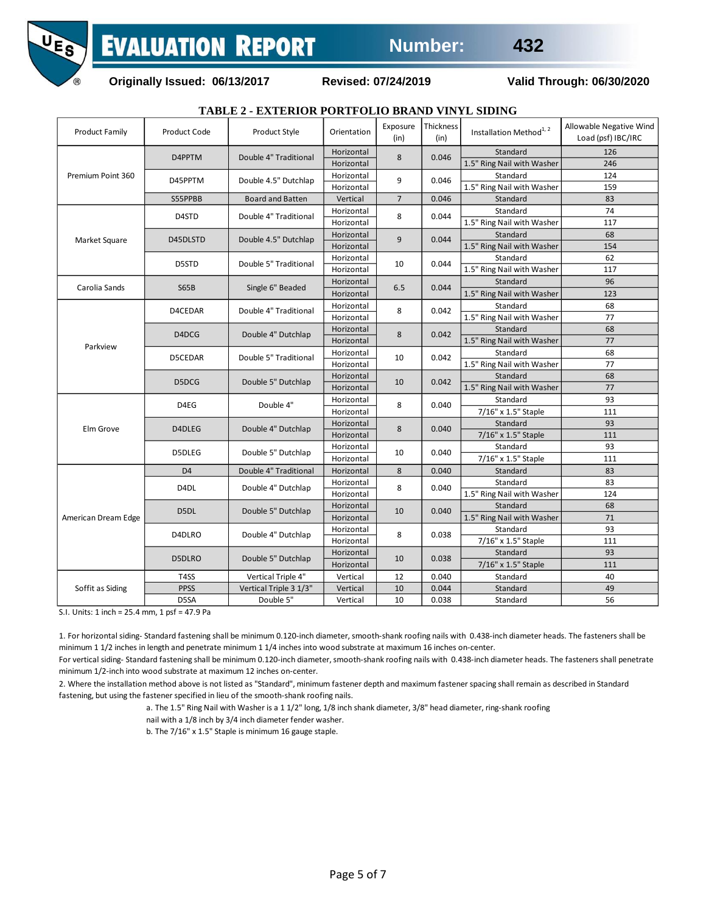

**Originally Issued: 06/13/2017 Revised: 07/24/2019 Valid Through: 06/30/2020**

# **TABLE 2 - EXTERIOR PORTFOLIO BRAND VINYL SIDING**

| <b>Product Family</b> | Product Code      | Product Style           | Orientation              | Exposure<br>(in) | Thickness<br>(in) | Installation Method <sup>1, 2</sup> | Allowable Negative Wind<br>Load (psf) IBC/IRC |
|-----------------------|-------------------|-------------------------|--------------------------|------------------|-------------------|-------------------------------------|-----------------------------------------------|
|                       | D4PPTM            | Double 4" Traditional   | Horizontal<br>Horizontal | 8                | 0.046             | Standard                            | 126                                           |
| Premium Point 360     |                   |                         |                          |                  |                   | 1.5" Ring Nail with Washer          | 246                                           |
|                       | D45PPTM           | Double 4.5" Dutchlap    | Horizontal               | 9                | 0.046             | Standard                            | 124                                           |
|                       |                   |                         | Horizontal               |                  |                   | 1.5" Ring Nail with Washer          | 159                                           |
|                       | S55PPBB           | <b>Board and Batten</b> | Vertical                 | $\overline{7}$   | 0.046             | Standard                            | 83                                            |
|                       | D4STD             | Double 4" Traditional   | Horizontal               | 8                | 0.044             | Standard                            | 74                                            |
|                       |                   |                         | Horizontal               |                  |                   | 1.5" Ring Nail with Washer          | 117                                           |
| Market Square         | D45DLSTD          | Double 4.5" Dutchlap    | Horizontal               | 9                | 0.044             | Standard                            | 68                                            |
|                       |                   |                         | Horizontal               |                  |                   | 1.5" Ring Nail with Washer          | 154                                           |
|                       | D5STD             | Double 5" Traditional   | Horizontal               | 10               | 0.044             | Standard                            | 62                                            |
|                       |                   |                         | Horizontal               |                  |                   | 1.5" Ring Nail with Washer          | 117                                           |
| Carolia Sands         | <b>S65B</b>       | Single 6" Beaded        | Horizontal               | 6.5              | 0.044             | Standard                            | 96                                            |
|                       |                   |                         | Horizontal               |                  |                   | 1.5" Ring Nail with Washer          | 123                                           |
|                       | D4CEDAR           | Double 4" Traditional   | Horizontal               | 8                | 0.042             | Standard                            | 68                                            |
|                       |                   |                         | Horizontal               |                  |                   | 1.5" Ring Nail with Washer          | 77                                            |
|                       |                   | Double 4" Dutchlap      | Horizontal               |                  | 0.042             | Standard                            | 68                                            |
|                       | D4DCG             |                         | Horizontal               | 8                |                   | 1.5" Ring Nail with Washer          | 77                                            |
| Parkview              | D5CEDAR           | Double 5" Traditional   | Horizontal               | 10               | 0.042             | Standard                            | 68                                            |
|                       |                   |                         | Horizontal               |                  |                   | 1.5" Ring Nail with Washer          | 77                                            |
|                       | D5DCG             | Double 5" Dutchlap      | Horizontal               | 10               | 0.042             | Standard                            | 68                                            |
|                       |                   |                         | Horizontal               |                  |                   | 1.5" Ring Nail with Washer          | 77                                            |
|                       | D4EG              | Double 4"               | Horizontal               | 8                | 0.040             | Standard                            | 93                                            |
|                       |                   |                         | Horizontal               |                  |                   | 7/16" x 1.5" Staple                 | 111                                           |
|                       | D4DLEG            | Double 4" Dutchlap      | Horizontal               | 8                | 0.040             | Standard                            | 93                                            |
| Elm Grove             |                   |                         | Horizontal               |                  |                   | 7/16" x 1.5" Staple                 | 111                                           |
|                       | D5DLEG            | Double 5" Dutchlap      | Horizontal               |                  | 0.040             | Standard                            | 93                                            |
|                       |                   |                         | Horizontal               | 10               |                   | 7/16" x 1.5" Staple                 | 111                                           |
|                       | D <sub>4</sub>    | Double 4" Traditional   | Horizontal               | 8                | 0.040             | Standard                            | 83                                            |
| American Dream Edge   | D <sub>4</sub> DL | Double 4" Dutchlap      | Horizontal               | 8                | 0.040             | Standard                            | 83                                            |
|                       |                   |                         | Horizontal               |                  |                   | 1.5" Ring Nail with Washer          | 124                                           |
|                       | D5DL              | Double 5" Dutchlap      | Horizontal               | 10               | 0.040             | Standard                            | 68                                            |
|                       |                   |                         | Horizontal               |                  |                   | 1.5" Ring Nail with Washer          | 71                                            |
|                       | D4DLRO            | Double 4" Dutchlap      | Horizontal               | 8                | 0.038             | Standard                            | 93                                            |
|                       |                   |                         | Horizontal               |                  |                   | 7/16" x 1.5" Staple                 | 111                                           |
|                       | D5DLRO            | Double 5" Dutchlap      | Horizontal               | 10               | 0.038             | Standard                            | 93                                            |
|                       |                   |                         | Horizontal               |                  |                   | 7/16" x 1.5" Staple                 | 111                                           |
| Soffit as Siding      | T <sub>4</sub> SS | Vertical Triple 4"      | Vertical                 | 12               | 0.040             | Standard                            | 40                                            |
|                       | <b>PPSS</b>       | Vertical Triple 3 1/3"  | Vertical                 | 10               | 0.044             | Standard                            | 49                                            |
|                       | D5SA              | Double 5"               | Vertical                 | 10               | 0.038             | Standard                            | 56                                            |

S.I. Units: 1 inch = 25.4 mm, 1 psf = 47.9 Pa

1. For horizontal siding- Standard fastening shall be minimum 0.120-inch diameter, smooth-shank roofing nails with 0.438-inch diameter heads. The fasteners shall be minimum 1 1/2 inches in length and penetrate minimum 1 1/4 inches into wood substrate at maximum 16 inches on-center.

For vertical siding- Standard fastening shall be minimum 0.120-inch diameter, smooth-shank roofing nails with 0.438-inch diameter heads. The fasteners shall penetrate minimum 1/2-inch into wood substrate at maximum 12 inches on-center.

2. Where the installation method above is not listed as "Standard", minimum fastener depth and maximum fastener spacing shall remain as described in Standard fastening, but using the fastener specified in lieu of the smooth-shank roofing nails.

a. The 1.5" Ring Nail with Washer is a 1 1/2" long, 1/8 inch shank diameter, 3/8" head diameter, ring-shank roofing

nail with a 1/8 inch by 3/4 inch diameter fender washer.

b. The 7/16" x 1.5" Staple is minimum 16 gauge staple.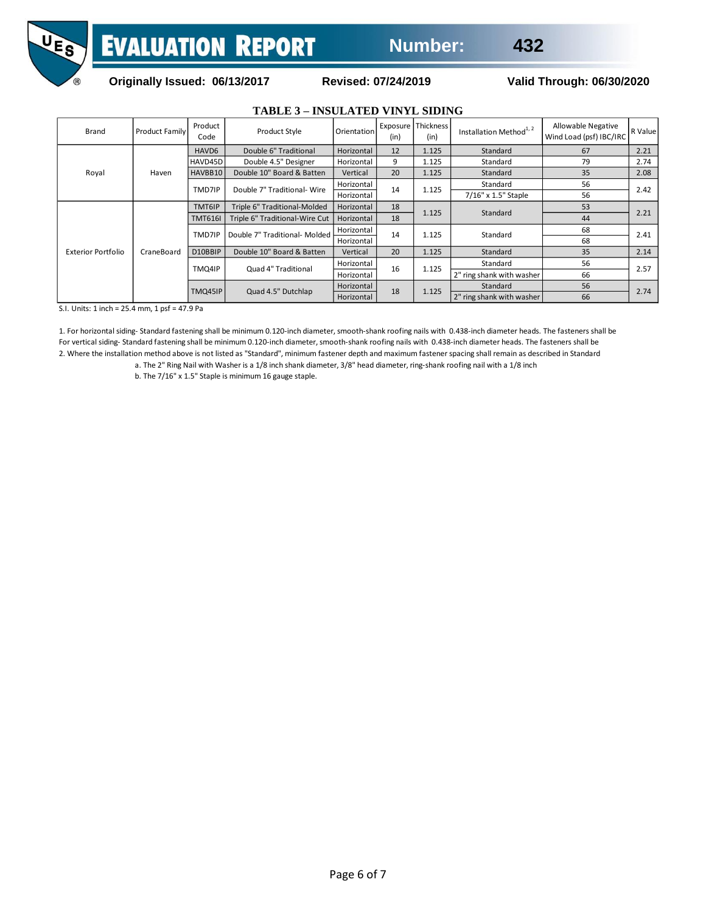

# **Originally Issued: 06/13/2017 Revised: 07/24/2019 Valid Through: 06/30/2020**

|                           |                       |                               | <b>TABLE 3 - INSULATED VINYL SIDING</b> |             |       |                            |                                     |                                               |              |
|---------------------------|-----------------------|-------------------------------|-----------------------------------------|-------------|-------|----------------------------|-------------------------------------|-----------------------------------------------|--------------|
| Brand                     | <b>Product Family</b> | Product<br>Code               | Product Style                           | Orientation | (in)  | Exposure Thickness<br>(in) | Installation Method <sup>1, 2</sup> | Allowable Negative<br>Wind Load (psf) IBC/IRC | R Value      |
| Royal                     | Haven                 | HAVD6                         | Double 6" Traditional                   | Horizontal  | 12    | 1.125                      | Standard                            | 67                                            | 2.21         |
|                           |                       | HAVD45D                       | Double 4.5" Designer                    | Horizontal  | 9     | 1.125                      | Standard                            | 79                                            | 2.74         |
|                           |                       | HAVBB10                       | Double 10" Board & Batten               | Vertical    | 20    | 1.125                      | Standard                            | 35                                            | 2.08         |
|                           |                       | TMD7IP                        | Double 7" Traditional- Wire             | Horizontal  | 14    | 1.125                      | Standard                            | 56                                            | 2.42         |
|                           |                       |                               |                                         | Horizontal  |       |                            | 7/16" x 1.5" Staple                 | 56                                            |              |
| <b>Exterior Portfolio</b> | CraneBoard            | TMT6IP                        | Triple 6" Traditional-Molded            | Horizontal  | 18    | 1.125                      | Standard                            | 53                                            | 2.21<br>2.41 |
|                           |                       | TMT616I                       | Triple 6" Traditional-Wire Cut          | Horizontal  | 18    |                            |                                     | 44                                            |              |
|                           |                       | TMD7IP                        | Double 7" Traditional- Molded           | Horizontal  | 14    | 1.125                      | Standard                            | 68                                            |              |
|                           |                       |                               |                                         | Horizontal  |       |                            |                                     | 68                                            |              |
|                           |                       | D10BBIP                       | Double 10" Board & Batten               | Vertical    | 20    | 1.125                      | Standard                            | 35                                            | 2.14         |
|                           |                       | Quad 4" Traditional<br>TMQ4IP |                                         | Horizontal  | 16    | 1.125                      | Standard                            | 56                                            | 2.57         |
|                           |                       |                               |                                         | Horizontal  |       |                            | 2" ring shank with washer           | 66                                            |              |
|                           |                       | Quad 4.5" Dutchlap<br>TMQ45IP | Horizontal                              |             | 1.125 | Standard                   | 56                                  |                                               |              |
|                           |                       |                               |                                         | Horizontal  | 18    |                            | 2" ring shank with washer           | 66                                            | 2.74         |

# S.I. Units: 1 inch = 25.4 mm, 1 psf = 47.9 Pa

1. For horizontal siding- Standard fastening shall be minimum 0.120-inch diameter, smooth-shank roofing nails with 0.438-inch diameter heads. The fasteners shall be For vertical siding- Standard fastening shall be minimum 0.120-inch diameter, smooth-shank roofing nails with 0.438-inch diameter heads. The fasteners shall be 2. Where the installation method above is not listed as "Standard", minimum fastener depth and maximum fastener spacing shall remain as described in Standard

a. The 2" Ring Nail with Washer is a 1/8 inch shank diameter, 3/8" head diameter, ring-shank roofing nail with a 1/8 inch

b. The 7/16" x 1.5" Staple is minimum 16 gauge staple.